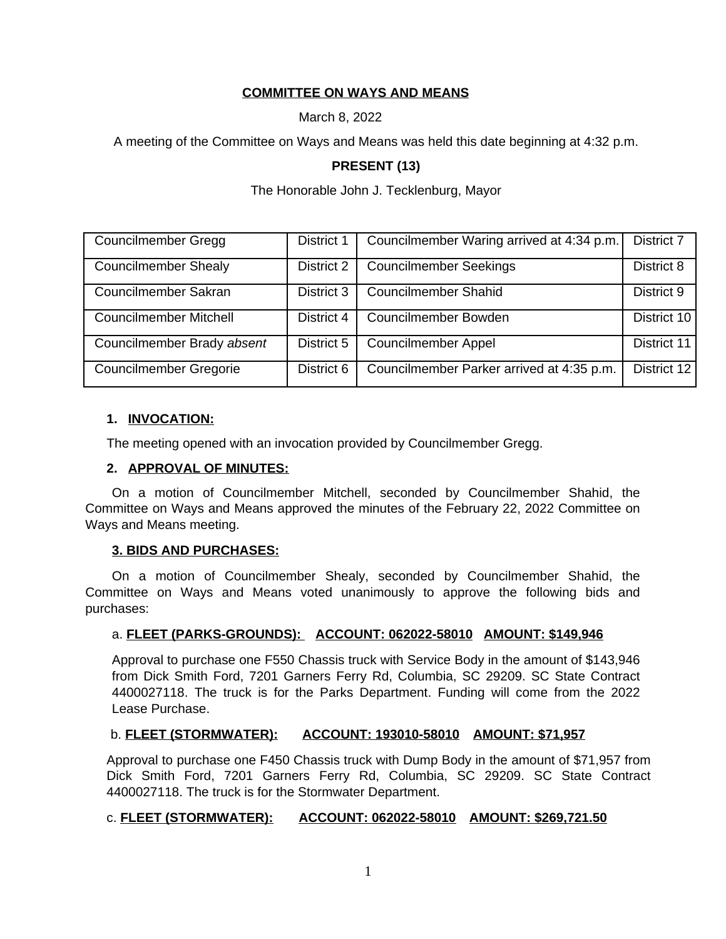# **COMMITTEE ON WAYS AND MEANS**

March 8, 2022

A meeting of the Committee on Ways and Means was held this date beginning at 4:32 p.m.

#### **PRESENT (13)**

The Honorable John J. Tecklenburg, Mayor

| Councilmember Gregg           | District 1 | Councilmember Waring arrived at 4:34 p.m. | District 7  |
|-------------------------------|------------|-------------------------------------------|-------------|
| <b>Councilmember Shealy</b>   | District 2 | <b>Councilmember Seekings</b>             | District 8  |
| Councilmember Sakran          | District 3 | <b>Councilmember Shahid</b>               | District 9  |
| <b>Councilmember Mitchell</b> | District 4 | Councilmember Bowden                      | District 10 |
| Councilmember Brady absent    | District 5 | <b>Councilmember Appel</b>                | District 11 |
| <b>Councilmember Gregorie</b> | District 6 | Councilmember Parker arrived at 4:35 p.m. | District 12 |

#### **1. INVOCATION:**

The meeting opened with an invocation provided by Councilmember Gregg.

#### **2. APPROVAL OF MINUTES:**

On a motion of Councilmember Mitchell, seconded by Councilmember Shahid, the Committee on Ways and Means approved the minutes of the February 22, 2022 Committee on Ways and Means meeting.

#### **3. BIDS AND PURCHASES:**

On a motion of Councilmember Shealy, seconded by Councilmember Shahid, the Committee on Ways and Means voted unanimously to approve the following bids and purchases:

#### a. **FLEET (PARKS-GROUNDS): ACCOUNT: 062022-58010 AMOUNT: \$149,946**

Approval to purchase one F550 Chassis truck with Service Body in the amount of \$143,946 from Dick Smith Ford, 7201 Garners Ferry Rd, Columbia, SC 29209. SC State Contract 4400027118. The truck is for the Parks Department. Funding will come from the 2022 Lease Purchase.

#### b. **FLEET (STORMWATER): ACCOUNT: 193010-58010 AMOUNT: \$71,957**

Approval to purchase one F450 Chassis truck with Dump Body in the amount of \$71,957 from Dick Smith Ford, 7201 Garners Ferry Rd, Columbia, SC 29209. SC State Contract 4400027118. The truck is for the Stormwater Department.

#### c. **FLEET (STORMWATER): ACCOUNT: 062022-58010 AMOUNT: \$269,721.50**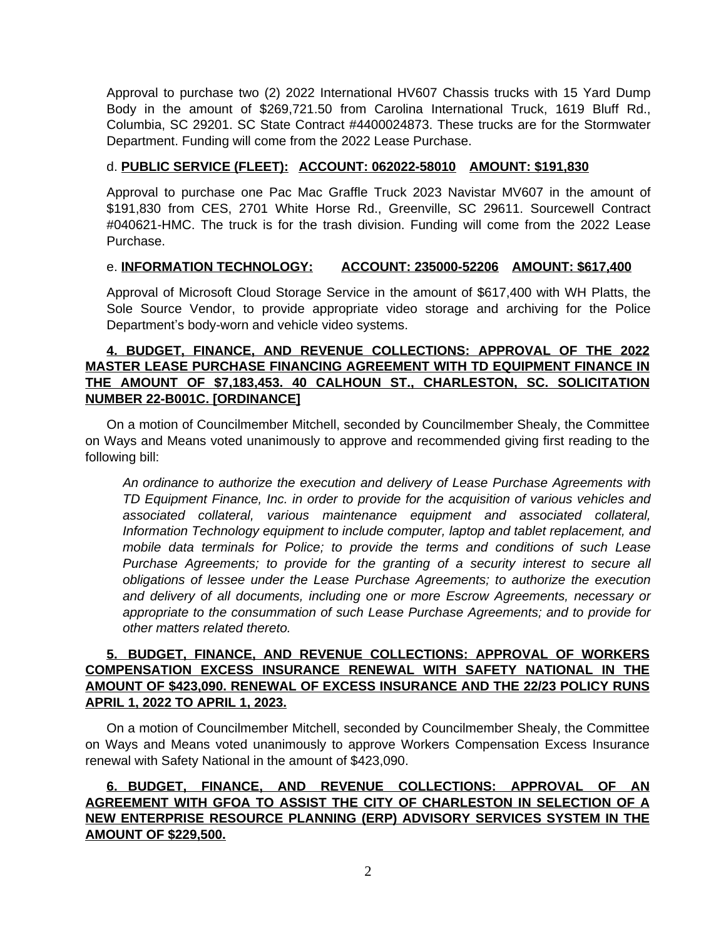Approval to purchase two (2) 2022 International HV607 Chassis trucks with 15 Yard Dump Body in the amount of \$269,721.50 from Carolina International Truck, 1619 Bluff Rd., Columbia, SC 29201. SC State Contract #4400024873. These trucks are for the Stormwater Department. Funding will come from the 2022 Lease Purchase.

#### d. **PUBLIC SERVICE (FLEET): ACCOUNT: 062022-58010 AMOUNT: \$191,830**

Approval to purchase one Pac Mac Graffle Truck 2023 Navistar MV607 in the amount of \$191,830 from CES, 2701 White Horse Rd., Greenville, SC 29611. Sourcewell Contract #040621-HMC. The truck is for the trash division. Funding will come from the 2022 Lease Purchase.

#### e. **INFORMATION TECHNOLOGY: ACCOUNT: 235000-52206 AMOUNT: \$617,400**

Approval of Microsoft Cloud Storage Service in the amount of \$617,400 with WH Platts, the Sole Source Vendor, to provide appropriate video storage and archiving for the Police Department's body-worn and vehicle video systems.

## **4. BUDGET, FINANCE, AND REVENUE COLLECTIONS: APPROVAL OF THE 2022 MASTER LEASE PURCHASE FINANCING AGREEMENT WITH TD EQUIPMENT FINANCE IN THE AMOUNT OF \$7,183,453. 40 CALHOUN ST., CHARLESTON, SC. SOLICITATION NUMBER 22-B001C. [ORDINANCE]**

On a motion of Councilmember Mitchell, seconded by Councilmember Shealy, the Committee on Ways and Means voted unanimously to approve and recommended giving first reading to the following bill:

*An ordinance to authorize the execution and delivery of Lease Purchase Agreements with TD Equipment Finance, Inc. in order to provide for the acquisition of various vehicles and associated collateral, various maintenance equipment and associated collateral, Information Technology equipment to include computer, laptop and tablet replacement, and mobile data terminals for Police; to provide the terms and conditions of such Lease Purchase Agreements; to provide for the granting of a security interest to secure all obligations of lessee under the Lease Purchase Agreements; to authorize the execution and delivery of all documents, including one or more Escrow Agreements, necessary or appropriate to the consummation of such Lease Purchase Agreements; and to provide for other matters related thereto.*

## **5. BUDGET, FINANCE, AND REVENUE COLLECTIONS: APPROVAL OF WORKERS COMPENSATION EXCESS INSURANCE RENEWAL WITH SAFETY NATIONAL IN THE AMOUNT OF \$423,090. RENEWAL OF EXCESS INSURANCE AND THE 22/23 POLICY RUNS APRIL 1, 2022 TO APRIL 1, 2023.**

On a motion of Councilmember Mitchell, seconded by Councilmember Shealy, the Committee on Ways and Means voted unanimously to approve Workers Compensation Excess Insurance renewal with Safety National in the amount of \$423,090.

**6. BUDGET, FINANCE, AND REVENUE COLLECTIONS: APPROVAL OF AN AGREEMENT WITH GFOA TO ASSIST THE CITY OF CHARLESTON IN SELECTION OF A NEW ENTERPRISE RESOURCE PLANNING (ERP) ADVISORY SERVICES SYSTEM IN THE AMOUNT OF \$229,500.**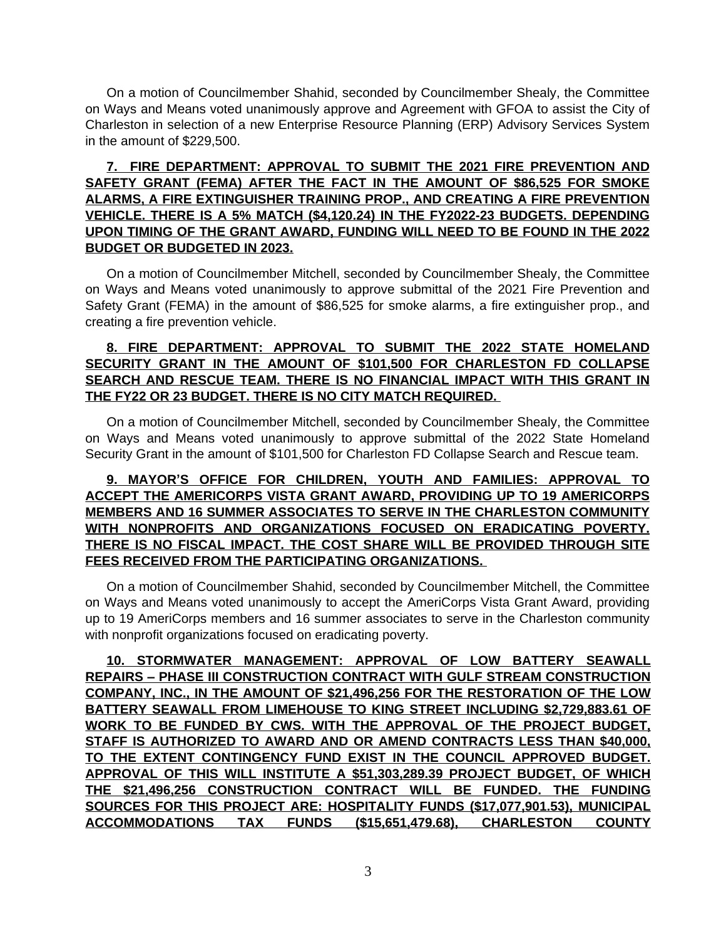On a motion of Councilmember Shahid, seconded by Councilmember Shealy, the Committee on Ways and Means voted unanimously approve and Agreement with GFOA to assist the City of Charleston in selection of a new Enterprise Resource Planning (ERP) Advisory Services System in the amount of \$229,500.

## **7. FIRE DEPARTMENT: APPROVAL TO SUBMIT THE 2021 FIRE PREVENTION AND SAFETY GRANT (FEMA) AFTER THE FACT IN THE AMOUNT OF \$86,525 FOR SMOKE ALARMS, A FIRE EXTINGUISHER TRAINING PROP., AND CREATING A FIRE PREVENTION VEHICLE. THERE IS A 5% MATCH (\$4,120.24) IN THE FY2022-23 BUDGETS. DEPENDING UPON TIMING OF THE GRANT AWARD, FUNDING WILL NEED TO BE FOUND IN THE 2022 BUDGET OR BUDGETED IN 2023.**

On a motion of Councilmember Mitchell, seconded by Councilmember Shealy, the Committee on Ways and Means voted unanimously to approve submittal of the 2021 Fire Prevention and Safety Grant (FEMA) in the amount of \$86,525 for smoke alarms, a fire extinguisher prop., and creating a fire prevention vehicle.

## **8. FIRE DEPARTMENT: APPROVAL TO SUBMIT THE 2022 STATE HOMELAND SECURITY GRANT IN THE AMOUNT OF \$101,500 FOR CHARLESTON FD COLLAPSE SEARCH AND RESCUE TEAM. THERE IS NO FINANCIAL IMPACT WITH THIS GRANT IN THE FY22 OR 23 BUDGET. THERE IS NO CITY MATCH REQUIRED.**

On a motion of Councilmember Mitchell, seconded by Councilmember Shealy, the Committee on Ways and Means voted unanimously to approve submittal of the 2022 State Homeland Security Grant in the amount of \$101,500 for Charleston FD Collapse Search and Rescue team.

## **9. MAYOR'S OFFICE FOR CHILDREN, YOUTH AND FAMILIES: APPROVAL TO ACCEPT THE AMERICORPS VISTA GRANT AWARD, PROVIDING UP TO 19 AMERICORPS MEMBERS AND 16 SUMMER ASSOCIATES TO SERVE IN THE CHARLESTON COMMUNITY WITH NONPROFITS AND ORGANIZATIONS FOCUSED ON ERADICATING POVERTY. THERE IS NO FISCAL IMPACT. THE COST SHARE WILL BE PROVIDED THROUGH SITE FEES RECEIVED FROM THE PARTICIPATING ORGANIZATIONS.**

On a motion of Councilmember Shahid, seconded by Councilmember Mitchell, the Committee on Ways and Means voted unanimously to accept the AmeriCorps Vista Grant Award, providing up to 19 AmeriCorps members and 16 summer associates to serve in the Charleston community with nonprofit organizations focused on eradicating poverty.

**10. STORMWATER MANAGEMENT: APPROVAL OF LOW BATTERY SEAWALL REPAIRS – PHASE III CONSTRUCTION CONTRACT WITH GULF STREAM CONSTRUCTION COMPANY, INC., IN THE AMOUNT OF \$21,496,256 FOR THE RESTORATION OF THE LOW BATTERY SEAWALL FROM LIMEHOUSE TO KING STREET INCLUDING \$2,729,883.61 OF WORK TO BE FUNDED BY CWS. WITH THE APPROVAL OF THE PROJECT BUDGET, STAFF IS AUTHORIZED TO AWARD AND OR AMEND CONTRACTS LESS THAN \$40,000, TO THE EXTENT CONTINGENCY FUND EXIST IN THE COUNCIL APPROVED BUDGET. APPROVAL OF THIS WILL INSTITUTE A \$51,303,289.39 PROJECT BUDGET, OF WHICH THE \$21,496,256 CONSTRUCTION CONTRACT WILL BE FUNDED. THE FUNDING SOURCES FOR THIS PROJECT ARE: HOSPITALITY FUNDS (\$17,077,901.53), MUNICIPAL ACCOMMODATIONS TAX FUNDS (\$15,651,479.68), CHARLESTON COUNTY**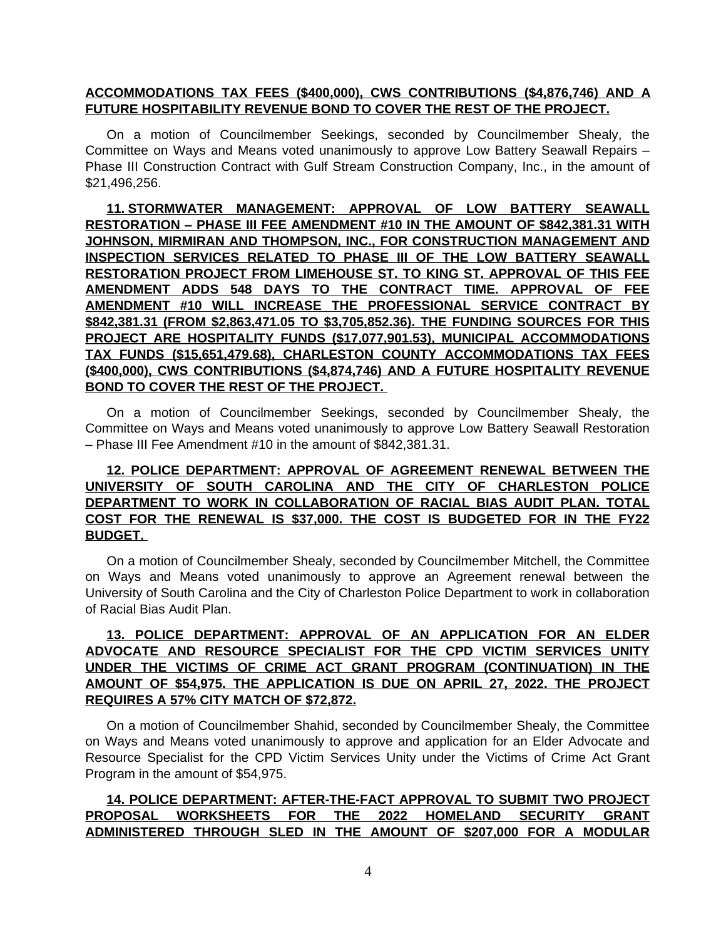#### **ACCOMMODATIONS TAX FEES (\$400,000), CWS CONTRIBUTIONS (\$4,876,746) AND A FUTURE HOSPITABILITY REVENUE BOND TO COVER THE REST OF THE PROJECT.**

On a motion of Councilmember Seekings, seconded by Councilmember Shealy, the Committee on Ways and Means voted unanimously to approve Low Battery Seawall Repairs – Phase III Construction Contract with Gulf Stream Construction Company, Inc., in the amount of \$21,496,256.

**11. STORMWATER MANAGEMENT: APPROVAL OF LOW BATTERY SEAWALL RESTORATION – PHASE III FEE AMENDMENT #10 IN THE AMOUNT OF \$842,381.31 WITH JOHNSON, MIRMIRAN AND THOMPSON, INC., FOR CONSTRUCTION MANAGEMENT AND INSPECTION SERVICES RELATED TO PHASE III OF THE LOW BATTERY SEAWALL RESTORATION PROJECT FROM LIMEHOUSE ST. TO KING ST. APPROVAL OF THIS FEE AMENDMENT ADDS 548 DAYS TO THE CONTRACT TIME. APPROVAL OF FEE AMENDMENT #10 WILL INCREASE THE PROFESSIONAL SERVICE CONTRACT BY \$842,381.31 (FROM \$2,863,471.05 TO \$3,705,852.36). THE FUNDING SOURCES FOR THIS PROJECT ARE HOSPITALITY FUNDS (\$17,077,901.53), MUNICIPAL ACCOMMODATIONS TAX FUNDS (\$15,651,479.68), CHARLESTON COUNTY ACCOMMODATIONS TAX FEES (\$400,000), CWS CONTRIBUTIONS (\$4,874,746) AND A FUTURE HOSPITALITY REVENUE BOND TO COVER THE REST OF THE PROJECT.** 

On a motion of Councilmember Seekings, seconded by Councilmember Shealy, the Committee on Ways and Means voted unanimously to approve Low Battery Seawall Restoration – Phase III Fee Amendment #10 in the amount of \$842,381.31.

# **12. POLICE DEPARTMENT: APPROVAL OF AGREEMENT RENEWAL BETWEEN THE UNIVERSITY OF SOUTH CAROLINA AND THE CITY OF CHARLESTON POLICE DEPARTMENT TO WORK IN COLLABORATION OF RACIAL BIAS AUDIT PLAN. TOTAL COST FOR THE RENEWAL IS \$37,000. THE COST IS BUDGETED FOR IN THE FY22 BUDGET.**

On a motion of Councilmember Shealy, seconded by Councilmember Mitchell, the Committee on Ways and Means voted unanimously to approve an Agreement renewal between the University of South Carolina and the City of Charleston Police Department to work in collaboration of Racial Bias Audit Plan.

# **13. POLICE DEPARTMENT: APPROVAL OF AN APPLICATION FOR AN ELDER ADVOCATE AND RESOURCE SPECIALIST FOR THE CPD VICTIM SERVICES UNITY UNDER THE VICTIMS OF CRIME ACT GRANT PROGRAM (CONTINUATION) IN THE AMOUNT OF \$54,975. THE APPLICATION IS DUE ON APRIL 27, 2022. THE PROJECT REQUIRES A 57% CITY MATCH OF \$72,872.**

On a motion of Councilmember Shahid, seconded by Councilmember Shealy, the Committee on Ways and Means voted unanimously to approve and application for an Elder Advocate and Resource Specialist for the CPD Victim Services Unity under the Victims of Crime Act Grant Program in the amount of \$54,975.

## **14. POLICE DEPARTMENT: AFTER-THE-FACT APPROVAL TO SUBMIT TWO PROJECT PROPOSAL WORKSHEETS FOR THE 2022 HOMELAND SECURITY GRANT ADMINISTERED THROUGH SLED IN THE AMOUNT OF \$207,000 FOR A MODULAR**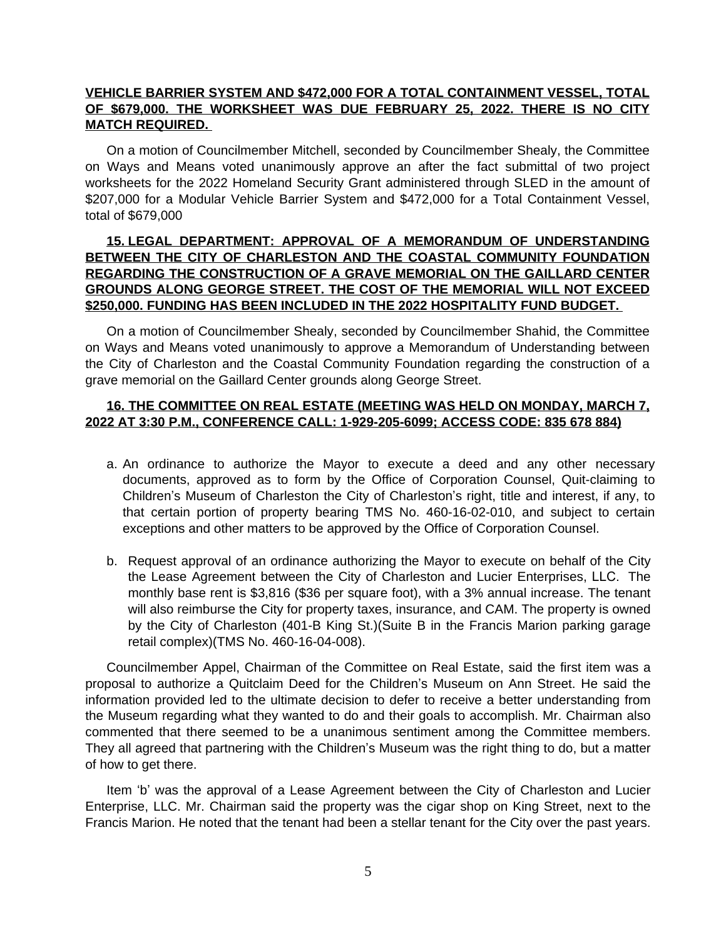## **VEHICLE BARRIER SYSTEM AND \$472,000 FOR A TOTAL CONTAINMENT VESSEL, TOTAL OF \$679,000. THE WORKSHEET WAS DUE FEBRUARY 25, 2022. THERE IS NO CITY MATCH REQUIRED.**

On a motion of Councilmember Mitchell, seconded by Councilmember Shealy, the Committee on Ways and Means voted unanimously approve an after the fact submittal of two project worksheets for the 2022 Homeland Security Grant administered through SLED in the amount of \$207,000 for a Modular Vehicle Barrier System and \$472,000 for a Total Containment Vessel, total of \$679,000

## **15. LEGAL DEPARTMENT: APPROVAL OF A MEMORANDUM OF UNDERSTANDING BETWEEN THE CITY OF CHARLESTON AND THE COASTAL COMMUNITY FOUNDATION REGARDING THE CONSTRUCTION OF A GRAVE MEMORIAL ON THE GAILLARD CENTER GROUNDS ALONG GEORGE STREET. THE COST OF THE MEMORIAL WILL NOT EXCEED \$250,000. FUNDING HAS BEEN INCLUDED IN THE 2022 HOSPITALITY FUND BUDGET.**

On a motion of Councilmember Shealy, seconded by Councilmember Shahid, the Committee on Ways and Means voted unanimously to approve a Memorandum of Understanding between the City of Charleston and the Coastal Community Foundation regarding the construction of a grave memorial on the Gaillard Center grounds along George Street.

## **16. THE COMMITTEE ON REAL ESTATE (MEETING WAS HELD ON MONDAY, MARCH 7, 2022 AT 3:30 P.M., CONFERENCE CALL: 1-929-205-6099; ACCESS CODE: 835 678 884)**

- a. An ordinance to authorize the Mayor to execute a deed and any other necessary documents, approved as to form by the Office of Corporation Counsel, Quit-claiming to Children's Museum of Charleston the City of Charleston's right, title and interest, if any, to that certain portion of property bearing TMS No. 460-16-02-010, and subject to certain exceptions and other matters to be approved by the Office of Corporation Counsel.
- b. Request approval of an ordinance authorizing the Mayor to execute on behalf of the City the Lease Agreement between the City of Charleston and Lucier Enterprises, LLC. The monthly base rent is \$3,816 (\$36 per square foot), with a 3% annual increase. The tenant will also reimburse the City for property taxes, insurance, and CAM. The property is owned by the City of Charleston (401-B King St.)(Suite B in the Francis Marion parking garage retail complex)(TMS No. 460-16-04-008).

Councilmember Appel, Chairman of the Committee on Real Estate, said the first item was a proposal to authorize a Quitclaim Deed for the Children's Museum on Ann Street. He said the information provided led to the ultimate decision to defer to receive a better understanding from the Museum regarding what they wanted to do and their goals to accomplish. Mr. Chairman also commented that there seemed to be a unanimous sentiment among the Committee members. They all agreed that partnering with the Children's Museum was the right thing to do, but a matter of how to get there.

Item 'b' was the approval of a Lease Agreement between the City of Charleston and Lucier Enterprise, LLC. Mr. Chairman said the property was the cigar shop on King Street, next to the Francis Marion. He noted that the tenant had been a stellar tenant for the City over the past years.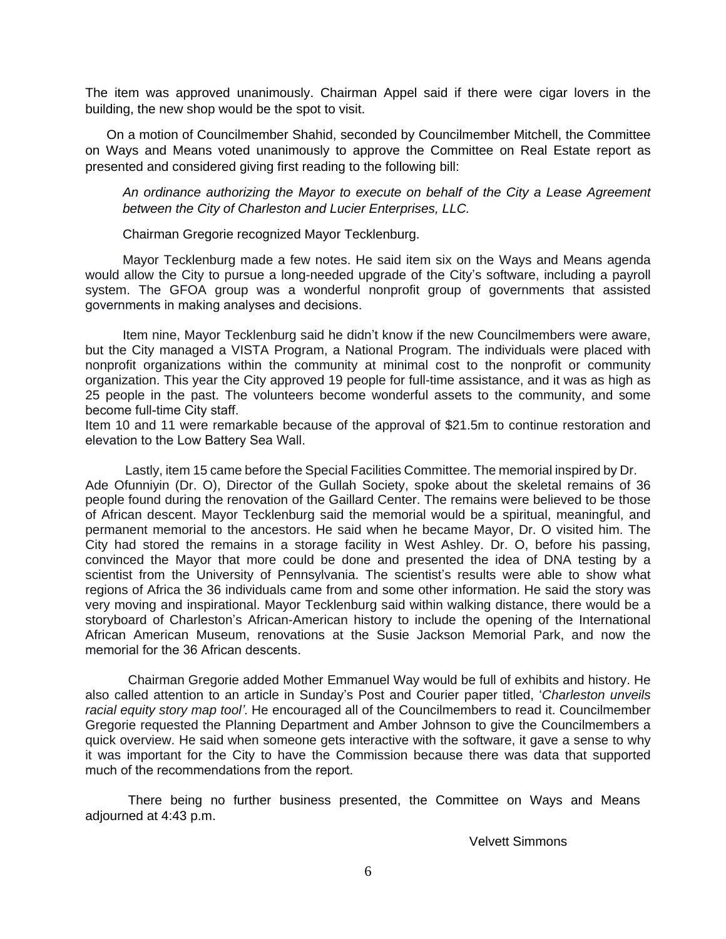The item was approved unanimously. Chairman Appel said if there were cigar lovers in the building, the new shop would be the spot to visit.

On a motion of Councilmember Shahid, seconded by Councilmember Mitchell, the Committee on Ways and Means voted unanimously to approve the Committee on Real Estate report as presented and considered giving first reading to the following bill:

*An ordinance authorizing the Mayor to execute on behalf of the City a Lease Agreement between the City of Charleston and Lucier Enterprises, LLC.*

Chairman Gregorie recognized Mayor Tecklenburg.

Mayor Tecklenburg made a few notes. He said item six on the Ways and Means agenda would allow the City to pursue a long-needed upgrade of the City's software, including a payroll system. The GFOA group was a wonderful nonprofit group of governments that assisted governments in making analyses and decisions.

Item nine, Mayor Tecklenburg said he didn't know if the new Councilmembers were aware, but the City managed a VISTA Program, a National Program. The individuals were placed with nonprofit organizations within the community at minimal cost to the nonprofit or community organization. This year the City approved 19 people for full-time assistance, and it was as high as 25 people in the past. The volunteers become wonderful assets to the community, and some become full-time City staff.

Item 10 and 11 were remarkable because of the approval of \$21.5m to continue restoration and elevation to the Low Battery Sea Wall.

Lastly, item 15 came before the Special Facilities Committee. The memorial inspired by Dr. Ade Ofunniyin (Dr. O), Director of the Gullah Society, spoke about the skeletal remains of 36 people found during the renovation of the Gaillard Center. The remains were believed to be those of African descent. Mayor Tecklenburg said the memorial would be a spiritual, meaningful, and permanent memorial to the ancestors. He said when he became Mayor, Dr. O visited him. The City had stored the remains in a storage facility in West Ashley. Dr. O, before his passing, convinced the Mayor that more could be done and presented the idea of DNA testing by a scientist from the University of Pennsylvania. The scientist's results were able to show what regions of Africa the 36 individuals came from and some other information. He said the story was very moving and inspirational. Mayor Tecklenburg said within walking distance, there would be a storyboard of Charleston's African-American history to include the opening of the International African American Museum, renovations at the Susie Jackson Memorial Park, and now the memorial for the 36 African descents.

Chairman Gregorie added Mother Emmanuel Way would be full of exhibits and history. He also called attention to an article in Sunday's Post and Courier paper titled, '*Charleston unveils racial equity story map tool'.* He encouraged all of the Councilmembers to read it. Councilmember Gregorie requested the Planning Department and Amber Johnson to give the Councilmembers a quick overview. He said when someone gets interactive with the software, it gave a sense to why it was important for the City to have the Commission because there was data that supported much of the recommendations from the report.

There being no further business presented, the Committee on Ways and Means adjourned at 4:43 p.m.

Velvett Simmons